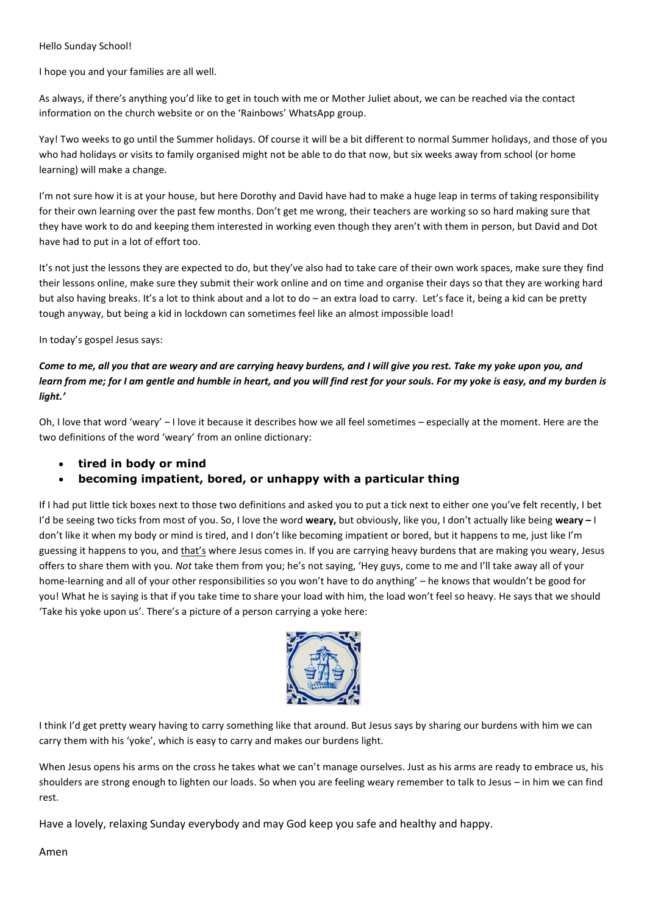## Hello Sunday School!

I hope you and your families are all well.

As always, if there's anything you'd like to get in touch with me or Mother Juliet about, we can be reached via the contact information on the church website or on the 'Rainbows' WhatsApp group.

Yay! Two weeks to go until the Summer holidays. Of course it will be a bit different to normal Summer holidays, and those of you who had holidays or visits to family organised might not be able to do that now, but six weeks away from school (or home learning) will make a change.

I'm not sure how it is at your house, but here Dorothy and David have had to make a huge leap in terms of taking responsibility for their own learning over the past few months. Don't get me wrong, their teachers are working so so hard making sure that they have work to do and keeping them interested in working even though they aren't with them in person, but David and Dot have had to put in a lot of effort too.

It's not just the lessons they are expected to do, but they've also had to take care of their own work spaces, make sure they find their lessons online, make sure they submit their work online and on time and organise their days so that they are working hard but also having breaks. It's a lot to think about and a lot to do – an extra load to carry. Let's face it, being a kid can be pretty tough anyway, but being a kid in lockdown can sometimes feel like an almost impossible load!

In today's gospel Jesus says:

## *Come to me, all you that are weary and are carrying heavy burdens, and I will give you rest. Take my yoke upon you, and learn from me; for I am gentle and humble in heart, and you will find rest for your souls. For my yoke is easy, and my burden is light.'*

Oh, I love that word 'weary' – I love it because it describes how we all feel sometimes – especially at the moment. Here are the two definitions of the word 'weary' from an online dictionary:

• **tired in body or mind**

## • **becoming impatient, bored, or unhappy with a particular thing**

If I had put little tick boxes next to those two definitions and asked you to put a tick next to either one you've felt recently, I bet I'd be seeing two ticks from most of you. So, I love the word **weary,** but obviously, like you, I don't actually like being **weary –** I don't like it when my body or mind is tired, and I don't like becoming impatient or bored, but it happens to me, just like I'm guessing it happens to you, and that's where Jesus comes in. If you are carrying heavy burdens that are making you weary, Jesus offers to share them with you. *Not* take them from you; he's not saying, 'Hey guys, come to me and I'll take away all of your home-learning and all of your other responsibilities so you won't have to do anything' – he knows that wouldn't be good for you! What he is saying is that if you take time to share your load with him, the load won't feel so heavy. He says that we should 'Take his yoke upon us'. There's a picture of a person carrying a yoke here:



I think I'd get pretty weary having to carry something like that around. But Jesus says by sharing our burdens with him we can carry them with his 'yoke', which is easy to carry and makes our burdens light.

When Jesus opens his arms on the cross he takes what we can't manage ourselves. Just as his arms are ready to embrace us, his shoulders are strong enough to lighten our loads. So when you are feeling weary remember to talk to Jesus – in him we can find rest.

Have a lovely, relaxing Sunday everybody and may God keep you safe and healthy and happy.

Amen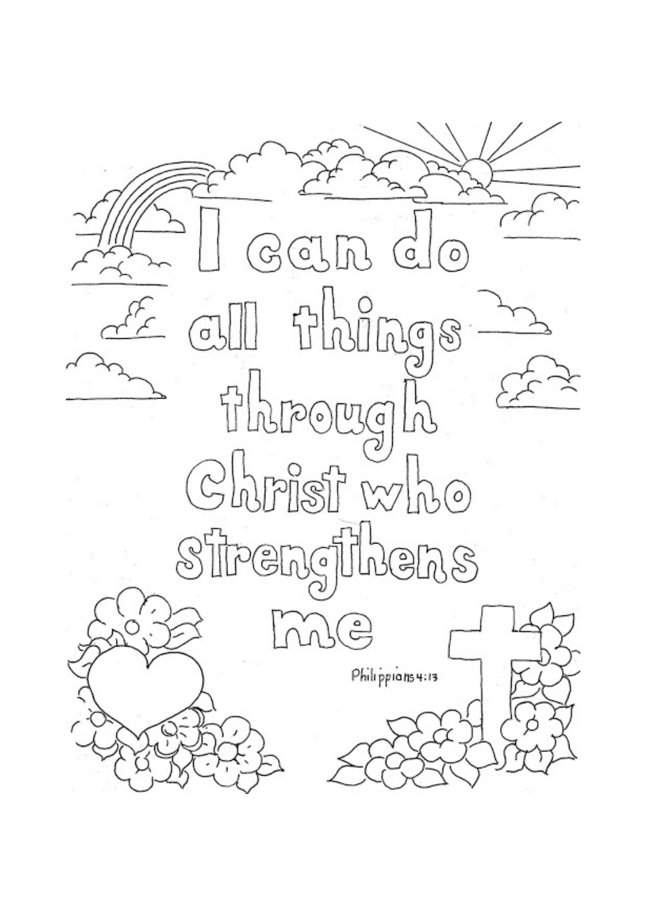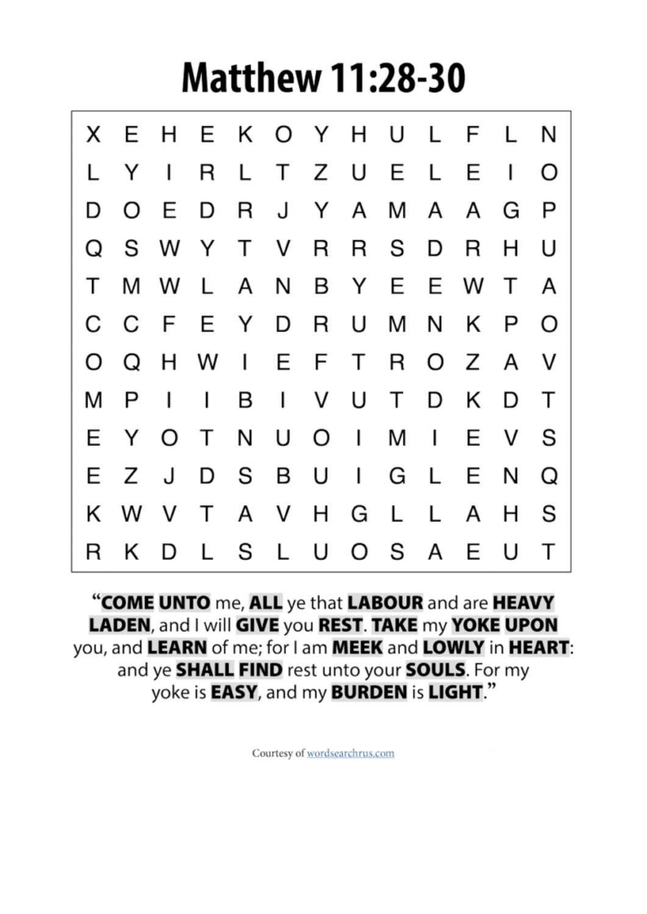## **Matthew 11:28-30**

|    |     |              |                     |  |  |  | X E H E K O Y H U L F L N |                |              |
|----|-----|--------------|---------------------|--|--|--|---------------------------|----------------|--------------|
| L. |     |              | Y I R L T Z U E L   |  |  |  | E                         | $\blacksquare$ | O            |
|    |     |              |                     |  |  |  | D O E D R J Y A M A A G   |                | $\mathsf{P}$ |
|    |     |              |                     |  |  |  | Q S W Y T V R R S D R H   |                | U            |
|    |     |              |                     |  |  |  | T M W L A N B Y E E W T   |                | A            |
|    |     |              |                     |  |  |  | C C F E Y D R U M N K P   |                | O            |
|    |     |              |                     |  |  |  | O Q H W I E F T R O Z A V |                |              |
|    | M P | $\mathbf{L}$ | $\mathbf{L}$        |  |  |  | B I V U T D K D           |                | $\top$       |
|    |     |              | E Y O T N U O I M I |  |  |  |                           | E V            | - S          |
|    | E Z |              |                     |  |  |  | J D S B U I G L E N       |                | Q            |
|    |     |              |                     |  |  |  | K W V T A V H G L L A H   |                | -S           |
|    |     |              |                     |  |  |  | R K D L S L U O S A E U   |                | $\top$       |

"COME UNTO me, ALL ye that LABOUR and are HEAVY LADEN, and I will GIVE you REST. TAKE my YOKE UPON you, and LEARN of me; for I am MEEK and LOWLY in HEART: and ye SHALL FIND rest unto your SOULS. For my yoke is **EASY**, and my **BURDEN** is LIGHT."

Courtesy of wordsearchrus.com